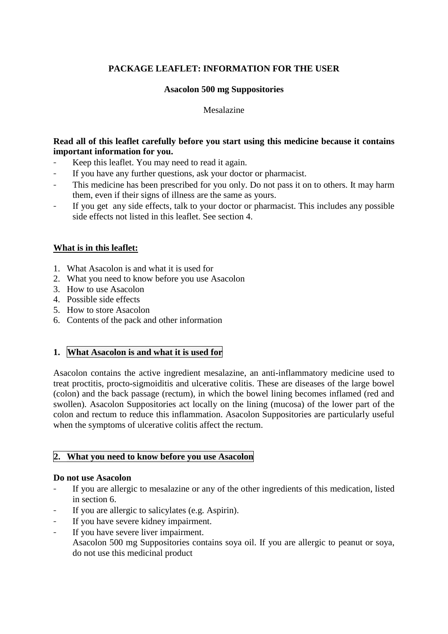# **PACKAGE LEAFLET: INFORMATION FOR THE USER**

## **Asacolon 500 mg Suppositories**

## Mesalazine

## **Read all of this leaflet carefully before you start using this medicine because it contains important information for you.**

- Keep this leaflet. You may need to read it again.
- If you have any further questions, ask your doctor or pharmacist.
- This medicine has been prescribed for you only. Do not pass it on to others. It may harm them, even if their signs of illness are the same as yours.
- If you get any side effects, talk to your doctor or pharmacist. This includes any possible side effects not listed in this leaflet. See section 4.

## **What is in this leaflet:**

- 1. What Asacolon is and what it is used for
- 2. What you need to know before you use Asacolon
- 3. How to use Asacolon
- 4. Possible side effects
- 5. How to store Asacolon
- 6. Contents of the pack and other information

## **1. What Asacolon is and what it is used for**

Asacolon contains the active ingredient mesalazine, an anti-inflammatory medicine used to treat proctitis, procto-sigmoiditis and ulcerative colitis. These are diseases of the large bowel (colon) and the back passage (rectum), in which the bowel lining becomes inflamed (red and swollen). Asacolon Suppositories act locally on the lining (mucosa) of the lower part of the colon and rectum to reduce this inflammation. Asacolon Suppositories are particularly useful when the symptoms of ulcerative colitis affect the rectum.

## **2. What you need to know before you use Asacolon**

### **Do not use Asacolon**

- If you are allergic to mesalazine or any of the other ingredients of this medication, listed in section 6.
- If you are allergic to salicylates (e.g. Aspirin).
- If you have severe kidney impairment.
- If you have severe liver impairment. Asacolon 500 mg Suppositories contains soya oil. If you are allergic to peanut or soya, do not use this medicinal product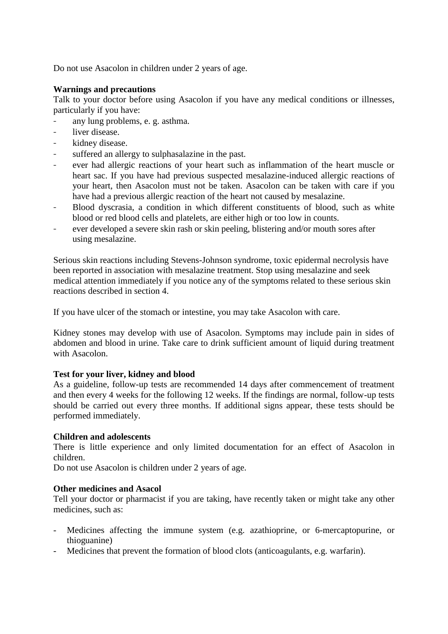Do not use Asacolon in children under 2 years of age.

## **Warnings and precautions**

Talk to your doctor before using Asacolon if you have any medical conditions or illnesses, particularly if you have:

- any lung problems, e. g. asthma.
- liver disease.
- kidney disease.
- suffered an allergy to sulphasalazine in the past.
- ever had allergic reactions of your heart such as inflammation of the heart muscle or heart sac. If you have had previous suspected mesalazine-induced allergic reactions of your heart, then Asacolon must not be taken. Asacolon can be taken with care if you have had a previous allergic reaction of the heart not caused by mesalazine.
- Blood dyscrasia, a condition in which different constituents of blood, such as white blood or red blood cells and platelets, are either high or too low in counts.
- ever developed a severe skin rash or skin peeling, blistering and/or mouth sores after using mesalazine.

Serious skin reactions including Stevens-Johnson syndrome, toxic epidermal necrolysis have been reported in association with mesalazine treatment. Stop using mesalazine and seek medical attention immediately if you notice any of the symptoms related to these serious skin reactions described in section 4.

If you have ulcer of the stomach or intestine, you may take Asacolon with care.

Kidney stones may develop with use of Asacolon. Symptoms may include pain in sides of abdomen and blood in urine. Take care to drink sufficient amount of liquid during treatment with Asacolon.

### **Test for your liver, kidney and blood**

As a guideline, follow-up tests are recommended 14 days after commencement of treatment and then every 4 weeks for the following 12 weeks. If the findings are normal, follow-up tests should be carried out every three months. If additional signs appear, these tests should be performed immediately.

### **Children and adolescents**

There is little experience and only limited documentation for an effect of Asacolon in children.

Do not use Asacolon is children under 2 years of age.

## **Other medicines and Asacol**

Tell your doctor or pharmacist if you are taking, have recently taken or might take any other medicines, such as:

- Medicines affecting the immune system (e.g. azathioprine, or 6-mercaptopurine, or thioguanine)
- Medicines that prevent the formation of blood clots (anticoagulants, e.g. warfarin).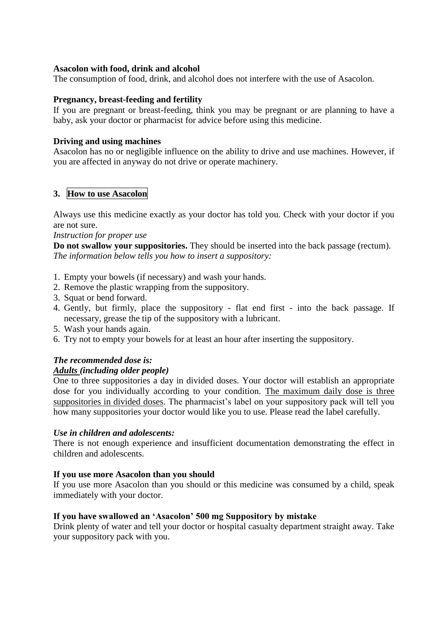## **Asacolon with food, drink and alcohol**

The consumption of food, drink, and alcohol does not interfere with the use of Asacolon.

### **Pregnancy, breast-feeding and fertility**

If you are pregnant or breast-feeding, think you may be pregnant or are planning to have a baby, ask your doctor or pharmacist for advice before using this medicine.

### **Driving and using machines**

Asacolon has no or negligible influence on the ability to drive and use machines. However, if you are affected in anyway do not drive or operate machinery.

## **3. How to use Asacolon**

Always use this medicine exactly as your doctor has told you. Check with your doctor if you are not sure.

#### *Instruction for proper use*

**Do not swallow your suppositories.** They should be inserted into the back passage (rectum). *The information below tells you how to insert a suppository:*

- 1. Empty your bowels (if necessary) and wash your hands.
- 2. Remove the plastic wrapping from the suppository.
- 3. Squat or bend forward.
- 4. Gently, but firmly, place the suppository flat end first into the back passage. If necessary, grease the tip of the suppository with a lubricant.
- 5. Wash your hands again.
- 6. Try not to empty your bowels for at least an hour after inserting the suppository.

## *The recommended dose is:*

### *Adults (including older people)*

One to three suppositories a day in divided doses. Your doctor will establish an appropriate dose for you individually according to your condition. The maximum daily dose is three suppositories in divided doses. The pharmacist's label on your suppository pack will tell you how many suppositories your doctor would like you to use. Please read the label carefully.

### *Use in children and adolescents:*

There is not enough experience and insufficient documentation demonstrating the effect in children and adolescents.

### **If you use more Asacolon than you should**

If you use more Asacolon than you should or this medicine was consumed by a child, speak immediately with your doctor.

### **If you have swallowed an 'Asacolon' 500 mg Suppository by mistake**

Drink plenty of water and tell your doctor or hospital casualty department straight away. Take your suppository pack with you.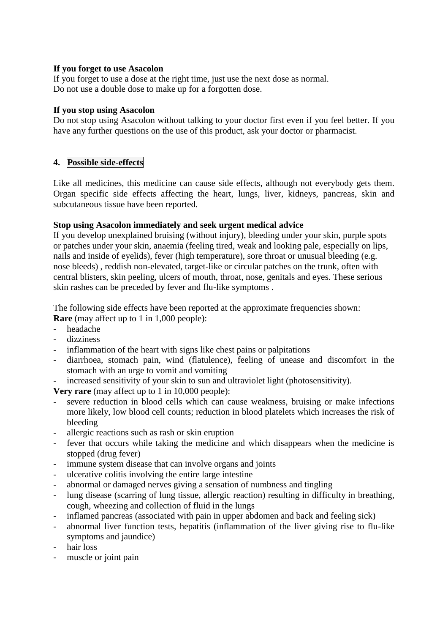## **If you forget to use Asacolon**

If you forget to use a dose at the right time, just use the next dose as normal. Do not use a double dose to make up for a forgotten dose.

### **If you stop using Asacolon**

Do not stop using Asacolon without talking to your doctor first even if you feel better. If you have any further questions on the use of this product, ask your doctor or pharmacist.

# **4. Possible side-effects**

Like all medicines, this medicine can cause side effects, although not everybody gets them. Organ specific side effects affecting the heart, lungs, liver, kidneys, pancreas, skin and subcutaneous tissue have been reported.

## **Stop using Asacolon immediately and seek urgent medical advice**

If you develop unexplained bruising (without injury), bleeding under your skin, purple spots or patches under your skin, anaemia (feeling tired, weak and looking pale, especially on lips, nails and inside of eyelids), fever (high temperature), sore throat or unusual bleeding (e.g. nose bleeds) , reddish non-elevated, target-like or circular patches on the trunk, often with central blisters, skin peeling, ulcers of mouth, throat, nose, genitals and eyes. These serious skin rashes can be preceded by fever and flu-like symptoms .

The following side effects have been reported at the approximate frequencies shown: **Rare** (may affect up to 1 in 1,000 people):

- headache
- dizziness
- inflammation of the heart with signs like chest pains or palpitations
- diarrhoea, stomach pain, wind (flatulence), feeling of unease and discomfort in the stomach with an urge to vomit and vomiting
- increased sensitivity of your skin to sun and ultraviolet light (photosensitivity).

**Very rare** (may affect up to 1 in 10,000 people):

- severe reduction in blood cells which can cause weakness, bruising or make infections more likely, low blood cell counts; reduction in blood platelets which increases the risk of bleeding
- allergic reactions such as rash or skin eruption
- fever that occurs while taking the medicine and which disappears when the medicine is stopped (drug fever)
- immune system disease that can involve organs and joints
- ulcerative colitis involving the entire large intestine
- abnormal or damaged nerves giving a sensation of numbness and tingling
- lung disease (scarring of lung tissue, allergic reaction) resulting in difficulty in breathing, cough, wheezing and collection of fluid in the lungs
- inflamed pancreas (associated with pain in upper abdomen and back and feeling sick)
- abnormal liver function tests, hepatitis (inflammation of the liver giving rise to flu-like symptoms and jaundice)
- hair loss
- muscle or joint pain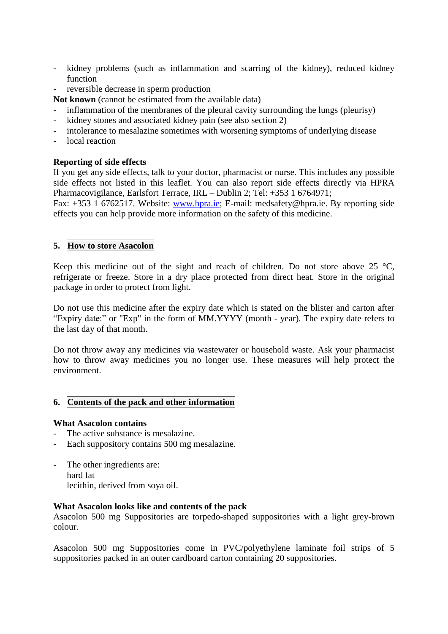- kidney problems (such as inflammation and scarring of the kidney), reduced kidney function
- reversible decrease in sperm production
- **Not known** (cannot be estimated from the available data)
- inflammation of the membranes of the pleural cavity surrounding the lungs (pleurisy)
- kidney stones and associated kidney pain (see also section 2)
- intolerance to mesalazine sometimes with worsening symptoms of underlying disease
- local reaction

## **Reporting of side effects**

If you get any side effects, talk to your doctor, pharmacist or nurse. This includes any possible side effects not listed in this leaflet. You can also report side effects directly via HPRA Pharmacovigilance, Earlsfort Terrace, IRL – Dublin 2; Tel: +353 1 6764971;

Fax: +353 1 6762517. Website: [www.hpra.ie;](http://www.hpra.ie/) E-mail: medsafety@hpra.ie. By reporting side effects you can help provide more information on the safety of this medicine.

## **5. How to store Asacolon**

Keep this medicine out of the sight and reach of children. Do not store above 25  $\degree$ C, refrigerate or freeze. Store in a dry place protected from direct heat. Store in the original package in order to protect from light.

Do not use this medicine after the expiry date which is stated on the blister and carton after "Expiry date:" or "Exp" in the form of MM.YYYY (month - year). The expiry date refers to the last day of that month.

Do not throw away any medicines via wastewater or household waste. Ask your pharmacist how to throw away medicines you no longer use. These measures will help protect the environment.

## **6. Contents of the pack and other information**

### **What Asacolon contains**

- The active substance is mesalazine.
- Each suppository contains 500 mg mesalazine.
- The other ingredients are: hard fat lecithin, derived from soya oil.

### **What Asacolon looks like and contents of the pack**

Asacolon 500 mg Suppositories are torpedo-shaped suppositories with a light grey-brown colour.

Asacolon 500 mg Suppositories come in PVC/polyethylene laminate foil strips of 5 suppositories packed in an outer cardboard carton containing 20 suppositories.